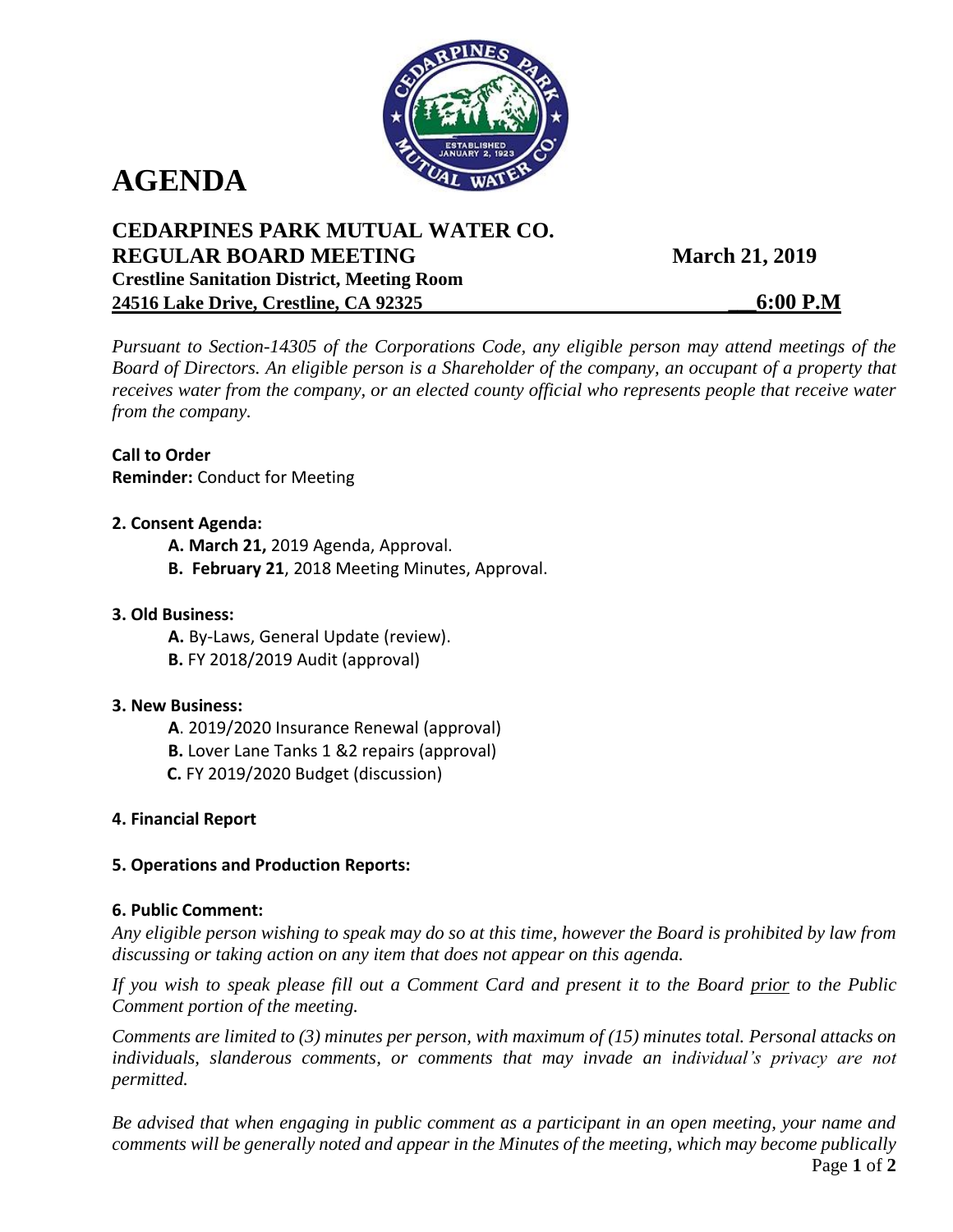

# **AGENDA**

# **CEDARPINES PARK MUTUAL WATER CO. REGULAR BOARD MEETING March 21, 2019 Crestline Sanitation District, Meeting Room 24516 Lake Drive, Crestline, CA 92325 \_\_\_6:00 P.M**

*Pursuant to Section-14305 of the Corporations Code, any eligible person may attend meetings of the Board of Directors. An eligible person is a Shareholder of the company, an occupant of a property that receives water from the company, or an elected county official who represents people that receive water from the company.*

**Call to Order Reminder:** Conduct for Meeting

## **2. Consent Agenda:**

- **A. March 21,** 2019 Agenda, Approval.
- **B. February 21**, 2018 Meeting Minutes, Approval.

## **3. Old Business:**

- **A.** By-Laws, General Update (review).
- **B.** FY 2018/2019 Audit (approval)

#### **3. New Business:**

- **A**. 2019/2020 Insurance Renewal (approval)
- **B.** Lover Lane Tanks 1 &2 repairs (approval)
- **C.** FY 2019/2020 Budget (discussion)

## **4. Financial Report**

## **5. Operations and Production Reports:**

#### **6. Public Comment:**

*Any eligible person wishing to speak may do so at this time, however the Board is prohibited by law from discussing or taking action on any item that does not appear on this agenda.* 

*If you wish to speak please fill out a Comment Card and present it to the Board prior to the Public Comment portion of the meeting.*

*Comments are limited to (3) minutes per person, with maximum of (15) minutes total. Personal attacks on individuals, slanderous comments, or comments that may invade an individual's privacy are not permitted.*

*Be advised that when engaging in public comment as a participant in an open meeting, your name and comments will be generally noted and appear in the Minutes of the meeting, which may become publically*